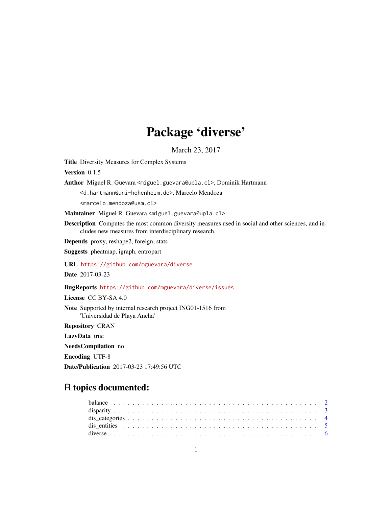# Package 'diverse'

March 23, 2017

<span id="page-0-0"></span>Title Diversity Measures for Complex Systems

Version 0.1.5

Author Miguel R. Guevara <miguel.guevara@upla.cl>, Dominik Hartmann

<d.hartmann@uni-hohenheim.de>, Marcelo Mendoza

<marcelo.mendoza@usm.cl>

Maintainer Miguel R. Guevara <miguel.guevara@upla.cl>

Description Computes the most common diversity measures used in social and other sciences, and includes new measures from interdisciplinary research.

Depends proxy, reshape2, foreign, stats

Suggests pheatmap, igraph, entropart

URL <https://github.com/mguevara/diverse>

Date 2017-03-23

BugReports <https://github.com/mguevara/diverse/issues>

License CC BY-SA 4.0

Note Supported by internal research project ING01-1516 from 'Universidad de Playa Ancha'

Repository CRAN

LazyData true

NeedsCompilation no

Encoding UTF-8

Date/Publication 2017-03-23 17:49:56 UTC

# R topics documented: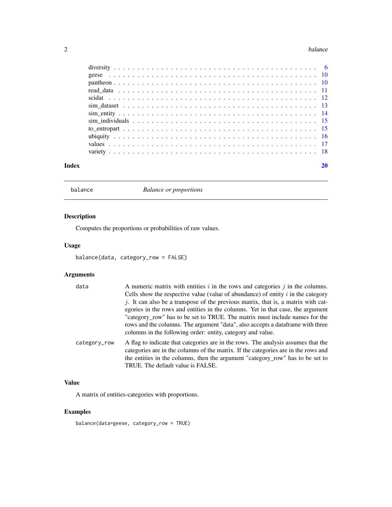#### <span id="page-1-0"></span>2 balance below the state of the state of the state of the state of the state of the state of the state of the state of the state of the state of the state of the state of the state of the state of the state of the state o

| Index |  |
|-------|--|
|       |  |
|       |  |
|       |  |
|       |  |
|       |  |
|       |  |
|       |  |
|       |  |
|       |  |
|       |  |
|       |  |
|       |  |

<span id="page-1-1"></span>balance *Balance or proportions*

#### Description

Computes the proportions or probabilities of raw values.

#### Usage

```
balance(data, category_row = FALSE)
```
# Arguments

| data         | A numeric matrix with entities $i$ in the rows and categories $j$ in the columns.<br>Cells show the respective value (value of abundance) of entity $i$ in the category<br>$j$ . It can also be a transpose of the previous matrix, that is, a matrix with cat-<br>egories in the rows and entities in the columns. Yet in that case, the argument<br>"category_row" has to be set to TRUE. The matrix must include names for the<br>rows and the columns. The argument "data", also accepts a data frame with three<br>columns in the following order: entity, category and value. |
|--------------|-------------------------------------------------------------------------------------------------------------------------------------------------------------------------------------------------------------------------------------------------------------------------------------------------------------------------------------------------------------------------------------------------------------------------------------------------------------------------------------------------------------------------------------------------------------------------------------|
| category_row | A flag to indicate that categories are in the rows. The analysis assumes that the<br>categories are in the columns of the matrix. If the categories are in the rows and<br>the entities in the columns, then the argument "category_row" has to be set to<br>TRUE. The default value is FALSE.                                                                                                                                                                                                                                                                                      |

# Value

A matrix of entities-categories with proportions.

# Examples

balance(data=geese, category\_row = TRUE)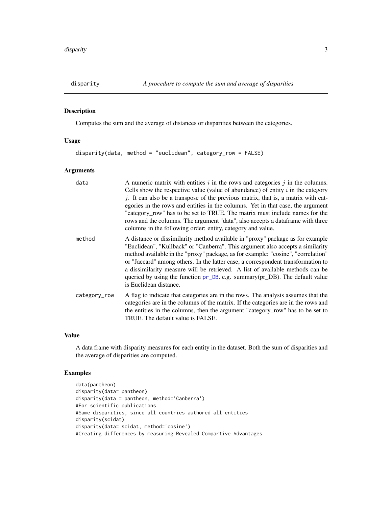<span id="page-2-0"></span>

Computes the sum and the average of distances or disparities between the categories.

#### Usage

```
disparity(data, method = "euclidean", category_row = FALSE)
```
#### Arguments

| data         | A numeric matrix with entities $i$ in the rows and categories $j$ in the columns.<br>Cells show the respective value (value of abundance) of entity $i$ in the category<br>$j$ . It can also be a transpose of the previous matrix, that is, a matrix with cat-<br>egories in the rows and entities in the columns. Yet in that case, the argument<br>"category_row" has to be set to TRUE. The matrix must include names for the<br>rows and the columns. The argument "data", also accepts a dataframe with three<br>columns in the following order: entity, category and value. |
|--------------|------------------------------------------------------------------------------------------------------------------------------------------------------------------------------------------------------------------------------------------------------------------------------------------------------------------------------------------------------------------------------------------------------------------------------------------------------------------------------------------------------------------------------------------------------------------------------------|
| method       | A distance or dissimilarity method available in "proxy" package as for example<br>"Euclidean", "Kullback" or "Canberra". This argument also accepts a similarity<br>method available in the "proxy" package, as for example: "cosine", "correlation"<br>or "Jaccard" among others. In the latter case, a correspondent transformation to<br>a dissimilarity measure will be retrieved. A list of available methods can be<br>queried by using the function pr_DB. e.g. summary(pr_DB). The default value<br>is Euclidean distance.                                                 |
| category_row | A flag to indicate that categories are in the rows. The analysis assumes that the<br>categories are in the columns of the matrix. If the categories are in the rows and<br>the entities in the columns, then the argument "category_row" has to be set to<br>TRUE. The default value is FALSE.                                                                                                                                                                                                                                                                                     |

#### Value

A data frame with disparity measures for each entity in the dataset. Both the sum of disparities and the average of disparities are computed.

```
data(pantheon)
disparity(data= pantheon)
disparity(data = pantheon, method='Canberra')
#For scientific publications
#Same disparities, since all countries authored all entities
disparity(scidat)
disparity(data= scidat, method='cosine')
#Creating differences by measuring Revealed Compartive Advantages
```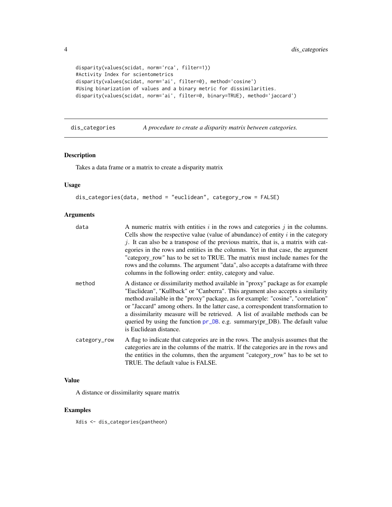```
disparity(values(scidat, norm='rca', filter=1))
#Activity Index for scientometrics
disparity(values(scidat, norm='ai', filter=0), method='cosine')
#Using binarization of values and a binary metric for dissimilarities.
disparity(values(scidat, norm='ai', filter=0, binary=TRUE), method='jaccard')
```
dis\_categories *A procedure to create a disparity matrix between categories.*

#### Description

Takes a data frame or a matrix to create a disparity matrix

#### Usage

```
dis_categories(data, method = "euclidean", category_row = FALSE)
```
#### Arguments

| data         | A numeric matrix with entities $i$ in the rows and categories $j$ in the columns.<br>Cells show the respective value (value of abundance) of entity $i$ in the category<br>j. It can also be a transpose of the previous matrix, that is, a matrix with cat-<br>egories in the rows and entities in the columns. Yet in that case, the argument<br>"category_row" has to be set to TRUE. The matrix must include names for the<br>rows and the columns. The argument "data", also accepts a dataframe with three<br>columns in the following order: entity, category and value. |
|--------------|---------------------------------------------------------------------------------------------------------------------------------------------------------------------------------------------------------------------------------------------------------------------------------------------------------------------------------------------------------------------------------------------------------------------------------------------------------------------------------------------------------------------------------------------------------------------------------|
| method       | A distance or dissimilarity method available in "proxy" package as for example<br>"Euclidean", "Kullback" or "Canberra". This argument also accepts a similarity<br>method available in the "proxy" package, as for example: "cosine", "correlation"<br>or "Jaccard" among others. In the latter case, a correspondent transformation to<br>a dissimilarity measure will be retrieved. A list of available methods can be<br>queried by using the function pr_DB. e.g. summary(pr_DB). The default value<br>is Euclidean distance.                                              |
| category_row | A flag to indicate that categories are in the rows. The analysis assumes that the<br>categories are in the columns of the matrix. If the categories are in the rows and<br>the entities in the columns, then the argument "category_row" has to be set to<br>TRUE. The default value is FALSE.                                                                                                                                                                                                                                                                                  |

#### Value

A distance or dissimilarity square matrix

#### Examples

Xdis <- dis\_categories(pantheon)

<span id="page-3-0"></span>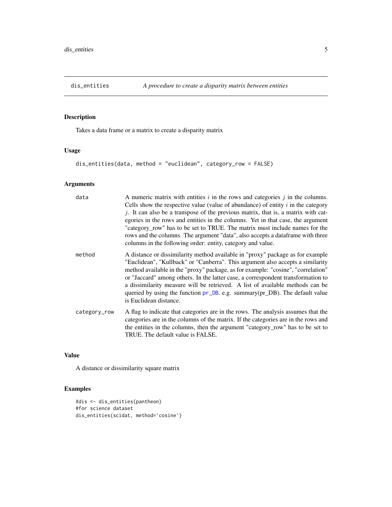<span id="page-4-0"></span>

Takes a data frame or a matrix to create a disparity matrix

#### Usage

```
dis_entities(data, method = "euclidean", category_row = FALSE)
```
# Arguments

| data         | A numeric matrix with entities $i$ in the rows and categories $j$ in the columns.<br>Cells show the respective value (value of abundance) of entity $i$ in the category<br>j. It can also be a transpose of the previous matrix, that is, a matrix with cat-<br>egories in the rows and entities in the columns. Yet in that case, the argument<br>"category_row" has to be set to TRUE. The matrix must include names for the<br>rows and the columns. The argument "data", also accepts a dataframe with three<br>columns in the following order: entity, category and value. |
|--------------|---------------------------------------------------------------------------------------------------------------------------------------------------------------------------------------------------------------------------------------------------------------------------------------------------------------------------------------------------------------------------------------------------------------------------------------------------------------------------------------------------------------------------------------------------------------------------------|
| method       | A distance or dissimilarity method available in "proxy" package as for example<br>"Euclidean", "Kullback" or "Canberra". This argument also accepts a similarity<br>method available in the "proxy" package, as for example: "cosine", "correlation"<br>or "Jaccard" among others. In the latter case, a correspondent transformation to<br>a dissimilarity measure will be retrieved. A list of available methods can be<br>queried by using the function pr_DB. e.g. summary(pr_DB). The default value<br>is Euclidean distance.                                              |
| category_row | A flag to indicate that categories are in the rows. The analysis assumes that the<br>categories are in the columns of the matrix. If the categories are in the rows and<br>the entities in the columns, then the argument "category_row" has to be set to<br>TRUE. The default value is FALSE.                                                                                                                                                                                                                                                                                  |

#### Value

A distance or dissimilarity square matrix

```
Xdis <- dis_entities(pantheon)
#for science dataset
dis_entities(scidat, method='cosine')
```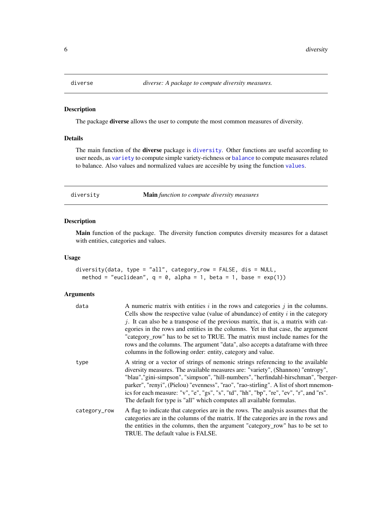<span id="page-5-0"></span>

The package diverse allows the user to compute the most common measures of diversity.

#### Details

The main function of the **diverse** package is [diversity](#page-5-1). Other functions are useful according to user needs, as [variety](#page-17-1) to compute simple variety-richness or [balance](#page-1-1) to compute measures related to balance. Also values and normalized values are accesible by using the function [values](#page-16-1).

<span id="page-5-1"></span>diversity Main *function to compute diversity measures*

#### Description

Main function of the package. The diversity function computes diversity measures for a dataset with entities, categories and values.

#### Usage

```
diversity(data, type = "all", category_row = FALSE, dis = NULL,
 method = "euclidean", q = 0, alpha = 1, beta = 1, base = exp(1))
```
#### Arguments

| data         | A numeric matrix with entities $i$ in the rows and categories $j$ in the columns.<br>Cells show the respective value (value of abundance) of entity $i$ in the category<br>j. It can also be a transpose of the previous matrix, that is, a matrix with cat-<br>egories in the rows and entities in the columns. Yet in that case, the argument<br>"category_row" has to be set to TRUE. The matrix must include names for the                                                                                        |
|--------------|-----------------------------------------------------------------------------------------------------------------------------------------------------------------------------------------------------------------------------------------------------------------------------------------------------------------------------------------------------------------------------------------------------------------------------------------------------------------------------------------------------------------------|
|              | rows and the columns. The argument "data", also accepts a dataframe with three<br>columns in the following order: entity, category and value.                                                                                                                                                                                                                                                                                                                                                                         |
| type         | A string or a vector of strings of nemonic strings referencing to the available<br>diversity measures. The available measures are: "variety", (Shannon) "entropy",<br>"blau", "gini-simpson", "simpson", "hill-numbers", "herfindahl-hirschman", "berger-<br>parker", "renyi", (Pielou) "evenness", "rao", "rao-stirling". A list of short mnemon-<br>ics for each measure: "v", "e", "gs", "s", "td", "hh", "bp", "re", "ev", "r", and "rs".<br>The default for type is "all" which computes all available formulas. |
| category_row | A flag to indicate that categories are in the rows. The analysis assumes that the<br>categories are in the columns of the matrix. If the categories are in the rows and<br>the entities in the columns, then the argument "category_row" has to be set to<br>TRUE. The default value is FALSE.                                                                                                                                                                                                                        |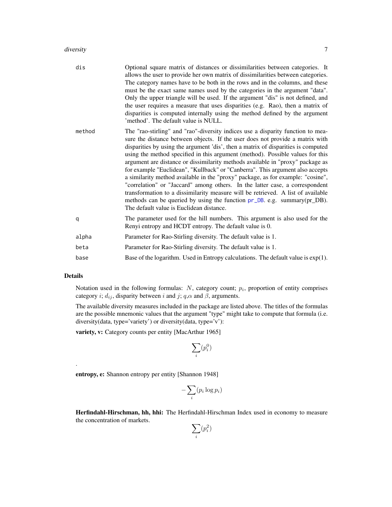#### <span id="page-6-0"></span>diversity that the contract of the contract of the contract of the contract of the contract of the contract of the contract of the contract of the contract of the contract of the contract of the contract of the contract of

| dis    | Optional square matrix of distances or dissimilarities between categories. It<br>allows the user to provide her own matrix of dissimilarities between categories.<br>The category names have to be both in the rows and in the columns, and these<br>must be the exact same names used by the categories in the argument "data".<br>Only the upper triangle will be used. If the argument "dis" is not defined, and<br>the user requires a measure that uses disparities (e.g. Rao), then a matrix of<br>disparities is computed internally using the method defined by the argument<br>'method'. The default value is NULL.                                                                                                                                                                                                                                                              |
|--------|-------------------------------------------------------------------------------------------------------------------------------------------------------------------------------------------------------------------------------------------------------------------------------------------------------------------------------------------------------------------------------------------------------------------------------------------------------------------------------------------------------------------------------------------------------------------------------------------------------------------------------------------------------------------------------------------------------------------------------------------------------------------------------------------------------------------------------------------------------------------------------------------|
| method | The "rao-stirling" and "rao"-diversity indices use a disparity function to mea-<br>sure the distance between objects. If the user does not provide a matrix with<br>disparities by using the argument 'dis', then a matrix of disparities is computed<br>using the method specified in this argument (method). Possible values for this<br>argument are distance or dissimilarity methods available in "proxy" package as<br>for example "Euclidean", "Kullback" or "Canberra". This argument also accepts<br>a similarity method available in the "proxy" package, as for example: "cosine",<br>"correlation" or "Jaccard" among others. In the latter case, a correspondent<br>transformation to a dissimilarity measure will be retrieved. A list of available<br>methods can be queried by using the function pr_DB. e.g. summary(pr_DB).<br>The default value is Euclidean distance. |
| q      | The parameter used for the hill numbers. This argument is also used for the<br>Renyi entropy and HCDT entropy. The default value is 0.                                                                                                                                                                                                                                                                                                                                                                                                                                                                                                                                                                                                                                                                                                                                                    |
| alpha  | Parameter for Rao-Stirling diversity. The default value is 1.                                                                                                                                                                                                                                                                                                                                                                                                                                                                                                                                                                                                                                                                                                                                                                                                                             |
| beta   | Parameter for Rao-Stirling diversity. The default value is 1.                                                                                                                                                                                                                                                                                                                                                                                                                                                                                                                                                                                                                                                                                                                                                                                                                             |
| base   | Base of the logarithm. Used in Entropy calculations. The default value is $exp(1)$ .                                                                                                                                                                                                                                                                                                                                                                                                                                                                                                                                                                                                                                                                                                                                                                                                      |

#### Details

.

Notation used in the following formulas:  $N$ , category count;  $p_i$ , proportion of entity comprises category i;  $d_{ij}$ , disparity between i and j; q, $\alpha$  and  $\beta$ , arguments.

The available diversity measures included in the package are listed above. The titles of the formulas are the possible mnemonic values that the argument "type" might take to compute that formula (i.e. diversity(data, type='variety') or diversity(data, type='v'):

variety, v: Category counts per entity [MacArthur 1965]

$$
\sum_i (p_i^0)
$$

entropy, e: Shannon entropy per entity [Shannon 1948]

$$
-\sum_i (p_i \log p_i)
$$

Herfindahl-Hirschman, hh, hhi: The Herfindahl-Hirschman Index used in economy to measure the concentration of markets.

$$
\sum_i (p_i^2)
$$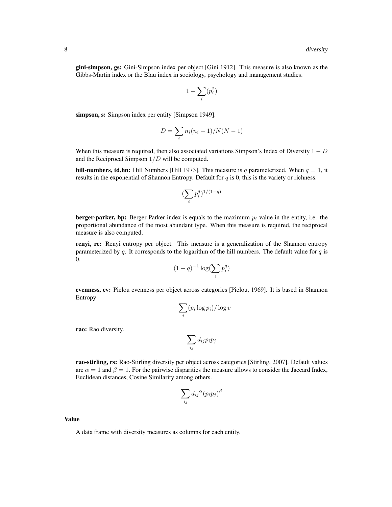gini-simpson, gs: Gini-Simpson index per object [Gini 1912]. This measure is also known as the Gibbs-Martin index or the Blau index in sociology, psychology and management studies.

$$
1-\sum_i(p_i^2)
$$

simpson, s: Simpson index per entity [Simpson 1949].

$$
D = \sum_{i} n_i (n_i - 1) / N(N - 1)
$$

When this measure is required, then also associated variations Simpson's Index of Diversity  $1 - D$ and the Reciprocal Simpson  $1/D$  will be computed.

hill-numbers, td,hn: Hill Numbers [Hill 1973]. This measure is q parameterized. When  $q = 1$ , it results in the exponential of Shannon Entropy. Default for  $q$  is 0, this is the variety or richness.

$$
(\sum_i p_i^q)^{1/(1-q)}
$$

**berger-parker, bp:** Berger-Parker index is equals to the maximum  $p_i$  value in the entity, i.e. the proportional abundance of the most abundant type. When this measure is required, the reciprocal measure is also computed.

renyi, re: Renyi entropy per object. This measure is a generalization of the Shannon entropy parameterized by q. It corresponds to the logarithm of the hill numbers. The default value for  $q$  is 0.

$$
(1-q)^{-1}\log(\sum_i p_i^q)
$$

evenness, ev: Pielou evenness per object across categories [Pielou, 1969]. It is based in Shannon Entropy

$$
-\sum_i (p_i \log p_i) / \log v
$$

rao: Rao diversity.

$$
\sum_{ij} d_{ij} p_i p_j
$$

rao-stirling, rs: Rao-Stirling diversity per object across categories [Stirling, 2007]. Default values are  $\alpha = 1$  and  $\beta = 1$ . For the pairwise disparities the measure allows to consider the Jaccard Index, Euclidean distances, Cosine Similarity among others.

$$
\sum_{ij} d_{ij}{}^{\alpha} (p_i p_j)^{\beta}
$$

Value

A data frame with diversity measures as columns for each entity.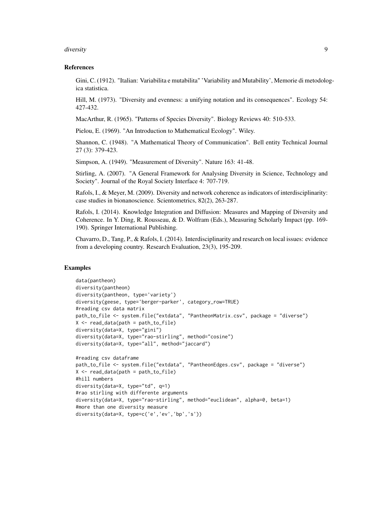#### diversity that the contract of the contract of the contract of the contract of the contract of the contract of the contract of the contract of the contract of the contract of the contract of the contract of the contract of

#### References

Gini, C. (1912). "Italian: Variabilita e mutabilita" 'Variability and Mutability', Memorie di metodologica statistica.

Hill, M. (1973). "Diversity and evenness: a unifying notation and its consequences". Ecology 54: 427-432.

MacArthur, R. (1965). "Patterns of Species Diversity". Biology Reviews 40: 510-533.

Pielou, E. (1969). "An Introduction to Mathematical Ecology". Wiley.

Shannon, C. (1948). "A Mathematical Theory of Communication". Bell entity Technical Journal 27 (3): 379-423.

Simpson, A. (1949). "Measurement of Diversity". Nature 163: 41-48.

Stirling, A. (2007). "A General Framework for Analysing Diversity in Science, Technology and Society". Journal of the Royal Society Interface 4: 707-719.

Rafols, I., & Meyer, M. (2009). Diversity and network coherence as indicators of interdisciplinarity: case studies in bionanoscience. Scientometrics, 82(2), 263-287.

Rafols, I. (2014). Knowledge Integration and Diffusion: Measures and Mapping of Diversity and Coherence. In Y. Ding, R. Rousseau, & D. Wolfram (Eds.), Measuring Scholarly Impact (pp. 169- 190). Springer International Publishing.

Chavarro, D., Tang, P., & Rafols, I. (2014). Interdisciplinarity and research on local issues: evidence from a developing country. Research Evaluation, 23(3), 195-209.

```
data(pantheon)
diversity(pantheon)
diversity(pantheon, type='variety')
diversity(geese, type='berger-parker', category_row=TRUE)
#reading csv data matrix
path_to_file <- system.file("extdata", "PantheonMatrix.csv", package = "diverse")
X \leftarrow \text{read_data}(\text{path} = \text{path_to_file})diversity(data=X, type="gini")
diversity(data=X, type="rao-stirling", method="cosine")
diversity(data=X, type="all", method="jaccard")
#reading csv dataframe
path_to_file <- system.file("extdata", "PantheonEdges.csv", package = "diverse")
X \leftarrow \text{read_data}(\text{path} = \text{path_to_file})#hill numbers
diversity(data=X, type="td", q=1)
#rao stirling with differente arguments
diversity(data=X, type="rao-stirling", method="euclidean", alpha=0, beta=1)
#more than one diversity measure
diversity(data=X, type=c('e','ev','bp','s'))
```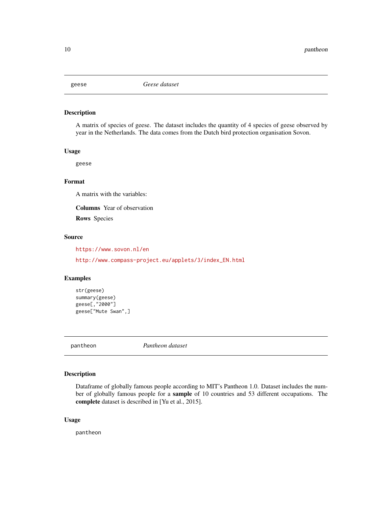<span id="page-9-0"></span>

A matrix of species of geese. The dataset includes the quantity of 4 species of geese observed by year in the Netherlands. The data comes from the Dutch bird protection organisation Sovon.

#### Usage

geese

#### Format

A matrix with the variables:

Columns Year of observation

Rows Species

#### Source

<https://www.sovon.nl/en>

[http://www.compass-project.eu/applets/3/index\\_EN.html](http://www.compass-project.eu/applets/3/index_EN.html)

#### Examples

```
str(geese)
summary(geese)
geese[,"2000"]
geese["Mute Swan",]
```
pantheon *Pantheon dataset*

#### Description

Dataframe of globally famous people according to MIT's Pantheon 1.0. Dataset includes the number of globally famous people for a sample of 10 countries and 53 different occupations. The complete dataset is described in [Yu et al., 2015].

#### Usage

pantheon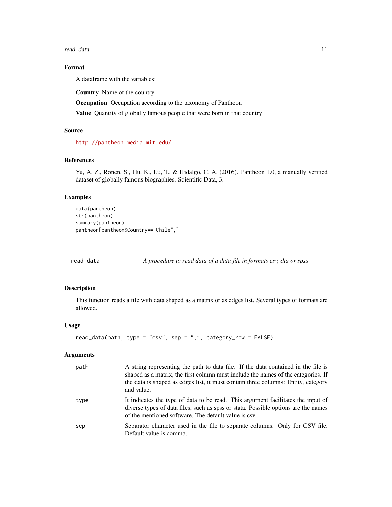<span id="page-10-0"></span>read\_data 11

#### Format

A dataframe with the variables:

Country Name of the country

Occupation Occupation according to the taxonomy of Pantheon

Value Quantity of globally famous people that were born in that country

#### Source

<http://pantheon.media.mit.edu/>

#### References

Yu, A. Z., Ronen, S., Hu, K., Lu, T., & Hidalgo, C. A. (2016). Pantheon 1.0, a manually verified dataset of globally famous biographies. Scientific Data, 3.

#### Examples

```
data(pantheon)
str(pantheon)
summary(pantheon)
pantheon[pantheon$Country=="Chile",]
```
read\_data *A procedure to read data of a data file in formats csv, dta or spss*

#### Description

This function reads a file with data shaped as a matrix or as edges list. Several types of formats are allowed.

#### Usage

```
read_data(path, type = "csv", sep = ",", category_row = FALSE)
```
#### Arguments

| path | A string representing the path to data file. If the data contained in the file is<br>shaped as a matrix, the first column must include the names of the categories. If<br>the data is shaped as edges list, it must contain three columns: Entity, category<br>and value. |
|------|---------------------------------------------------------------------------------------------------------------------------------------------------------------------------------------------------------------------------------------------------------------------------|
| type | It indicates the type of data to be read. This argument facilitates the input of<br>diverse types of data files, such as spss or stata. Possible options are the names<br>of the mentioned software. The default value is csv.                                            |
| sep  | Separator character used in the file to separate columns. Only for CSV file.<br>Default value is comma.                                                                                                                                                                   |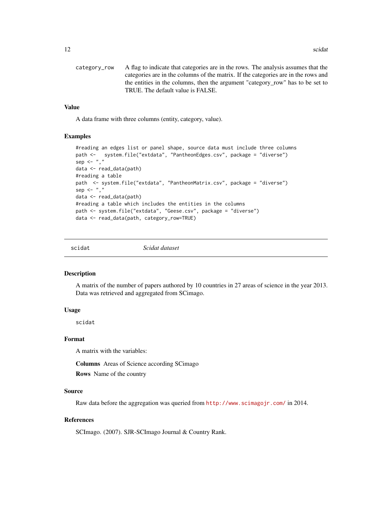<span id="page-11-0"></span>

| category row | A flag to indicate that categories are in the rows. The analysis assumes that the  |
|--------------|------------------------------------------------------------------------------------|
|              | categories are in the columns of the matrix. If the categories are in the rows and |
|              | the entities in the columns, then the argument "category row" has to be set to     |
|              | TRUE. The default value is FALSE.                                                  |

#### Value

A data frame with three columns (entity, category, value).

#### Examples

```
#reading an edges list or panel shape, source data must include three columns
path <- system.file("extdata", "PantheonEdges.csv", package = "diverse")
sep < -","
data <- read_data(path)
#reading a table
path <- system.file("extdata", "PantheonMatrix.csv", package = "diverse")
sep <- ","
data <- read_data(path)
#reading a table which includes the entities in the columns
path <- system.file("extdata", "Geese.csv", package = "diverse")
data <- read_data(path, category_row=TRUE)
```
scidat *Scidat dataset*

#### Description

A matrix of the number of papers authored by 10 countries in 27 areas of science in the year 2013. Data was retrieved and aggregated from SCimago.

#### Usage

scidat

#### Format

A matrix with the variables:

Columns Areas of Science according SCimago

Rows Name of the country

#### Source

Raw data before the aggregation was queried from <http://www.scimagojr.com/> in 2014.

#### References

SCImago. (2007). SJR-SCImago Journal & Country Rank.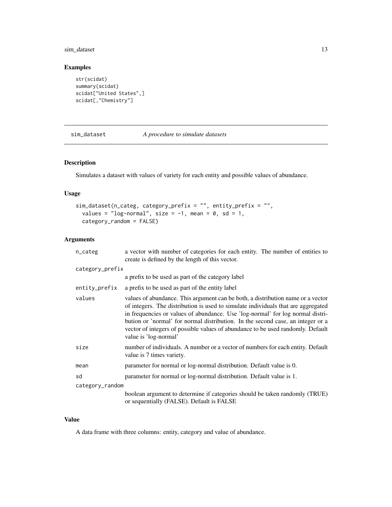#### <span id="page-12-0"></span>sim\_dataset 13

#### Examples

```
str(scidat)
summary(scidat)
scidat["United States",]
scidat[,"Chemistry"]
```
#### sim\_dataset *A procedure to simulate datasets*

#### Description

Simulates a dataset with values of variety for each entity and possible values of abundance.

#### Usage

```
sim_dataset(n_categ, category_prefix = "", entity_prefix = "",
  values = "log-normal", size = -1, mean = 0, sd = 1,
 category_random = FALSE)
```
#### Arguments

| n_categ         | a vector with number of categories for each entity. The number of entities to<br>create is defined by the length of this vector.                                                                                                                                                                                                                                                                                                                      |
|-----------------|-------------------------------------------------------------------------------------------------------------------------------------------------------------------------------------------------------------------------------------------------------------------------------------------------------------------------------------------------------------------------------------------------------------------------------------------------------|
| category_prefix |                                                                                                                                                                                                                                                                                                                                                                                                                                                       |
|                 | a prefix to be used as part of the category label                                                                                                                                                                                                                                                                                                                                                                                                     |
| entity_prefix   | a prefix to be used as part of the entity label                                                                                                                                                                                                                                                                                                                                                                                                       |
| values          | values of abundance. This argument can be both, a distribution name or a vector<br>of integers. The distribution is used to simulate individuals that are aggregated<br>in frequencies or values of abundance. Use 'log-normal' for log normal distri-<br>bution or 'normal' for normal distribution. In the second case, an integer or a<br>vector of integers of possible values of abundance to be used randomly. Default<br>value is 'log-normal' |
| size            | number of individuals. A number or a vector of numbers for each entity. Default<br>value is 7 times variety.                                                                                                                                                                                                                                                                                                                                          |
| mean            | parameter for normal or log-normal distribution. Default value is 0.                                                                                                                                                                                                                                                                                                                                                                                  |
| sd              | parameter for normal or log-normal distribution. Default value is 1.                                                                                                                                                                                                                                                                                                                                                                                  |
| category_random |                                                                                                                                                                                                                                                                                                                                                                                                                                                       |
|                 | boolean argument to determine if categories should be taken randomly (TRUE)<br>or sequentially (FALSE). Default is FALSE                                                                                                                                                                                                                                                                                                                              |

#### Value

A data frame with three columns: entity, category and value of abundance.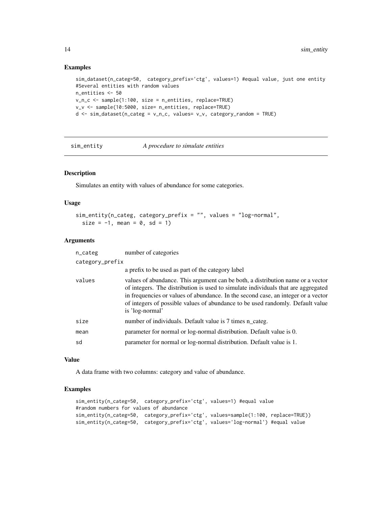#### Examples

```
sim_dataset(n_categ=50, category_prefix='ctg', values=1) #equal value, just one entity
#Several entities with random values
n_entities <- 50
v_n_c <- sample(1:100, size = n_entities, replace=TRUE)
v_v <- sample(10:5000, size= n_entities, replace=TRUE)
d \leq -\sin\theta dataset(n_categ = v_n_c, values= v_v, category_random = TRUE)
```
sim\_entity *A procedure to simulate entities*

#### Description

Simulates an entity with values of abundance for some categories.

#### Usage

```
sim_entity(n_categ, category_prefix = "", values = "log-normal",
  size = -1, mean = 0, sd = 1)
```
#### Arguments

| n_categ         | number of categories                                                                                                                                                                                                                                                                                                                                           |
|-----------------|----------------------------------------------------------------------------------------------------------------------------------------------------------------------------------------------------------------------------------------------------------------------------------------------------------------------------------------------------------------|
| category_prefix |                                                                                                                                                                                                                                                                                                                                                                |
|                 | a prefix to be used as part of the category label                                                                                                                                                                                                                                                                                                              |
| values          | values of abundance. This argument can be both, a distribution name or a vector<br>of integers. The distribution is used to simulate individuals that are aggregated<br>in frequencies or values of abundance. In the second case, an integer or a vector<br>of integers of possible values of abundance to be used randomly. Default value<br>is 'log-normal' |
| size            | number of individuals. Default value is 7 times n_categ.                                                                                                                                                                                                                                                                                                       |
| mean            | parameter for normal or log-normal distribution. Default value is 0.                                                                                                                                                                                                                                                                                           |
| sd              | parameter for normal or log-normal distribution. Default value is 1.                                                                                                                                                                                                                                                                                           |
|                 |                                                                                                                                                                                                                                                                                                                                                                |

#### Value

A data frame with two columns: category and value of abundance.

```
sim_entity(n_categ=50, category_prefix='ctg', values=1) #equal value
#random numbers for values of abundance
sim_entity(n_categ=50, category_prefix='ctg', values=sample(1:100, replace=TRUE))
sim_entity(n_categ=50, category_prefix='ctg', values='log-normal') #equal value
```
<span id="page-13-0"></span>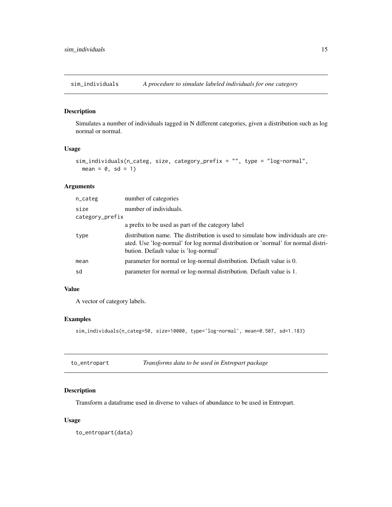<span id="page-14-0"></span>sim\_individuals *A procedure to simulate labeled individuals for one category*

#### Description

Simulates a number of individuals tagged in N different categories, given a distribution such as log normal or normal.

#### Usage

```
sim_individuals(n_categ, size, category_prefix = "", type = "log-normal",
 mean = 0, sd = 1)
```
### Arguments

| n_categ         | number of categories                                                                                                                                                                                           |
|-----------------|----------------------------------------------------------------------------------------------------------------------------------------------------------------------------------------------------------------|
| size            | number of individuals.                                                                                                                                                                                         |
| category_prefix |                                                                                                                                                                                                                |
|                 | a prefix to be used as part of the category label                                                                                                                                                              |
| type            | distribution name. The distribution is used to simulate how individuals are cre-<br>ated. Use 'log-normal' for log normal distribution or 'normal' for normal distri-<br>bution. Default value is 'log-normal' |
| mean            | parameter for normal or log-normal distribution. Default value is 0.                                                                                                                                           |
| sd              | parameter for normal or log-normal distribution. Default value is 1.                                                                                                                                           |
|                 |                                                                                                                                                                                                                |

#### Value

A vector of category labels.

#### Examples

```
sim_individuals(n_categ=50, size=10000, type='log-normal', mean=0.507, sd=1.183)
```

| to_entropart | Transforms data to be used in Entropart package |
|--------------|-------------------------------------------------|
|--------------|-------------------------------------------------|

#### Description

Transform a dataframe used in diverse to values of abundance to be used in Entropart.

#### Usage

to\_entropart(data)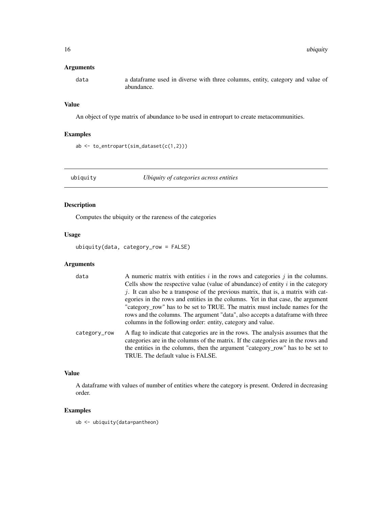#### <span id="page-15-0"></span>Arguments

data a dataframe used in diverse with three columns, entity, category and value of abundance.

#### Value

An object of type matrix of abundance to be used in entropart to create metacommunities.

#### Examples

```
ab <- to_entropart(sim_dataset(c(1,2)))
```
ubiquity *Ubiquity of categories across entities*

#### Description

Computes the ubiquity or the rareness of the categories

#### Usage

ubiquity(data, category\_row = FALSE)

#### Arguments

| data         | A numeric matrix with entities $i$ in the rows and categories $j$ in the columns.                                                                                       |
|--------------|-------------------------------------------------------------------------------------------------------------------------------------------------------------------------|
|              | Cells show the respective value (value of abundance) of entity $i$ in the category                                                                                      |
|              | $j$ . It can also be a transpose of the previous matrix, that is, a matrix with cat-                                                                                    |
|              | egories in the rows and entities in the columns. Yet in that case, the argument                                                                                         |
|              | "category_row" has to be set to TRUE. The matrix must include names for the                                                                                             |
|              | rows and the columns. The argument "data", also accepts a data frame with three                                                                                         |
|              | columns in the following order: entity, category and value.                                                                                                             |
| category_row | A flag to indicate that categories are in the rows. The analysis assumes that the<br>categories are in the columns of the matrix. If the categories are in the rows and |
|              | the entities in the columns, then the argument "category_row" has to be set to                                                                                          |

TRUE. The default value is FALSE.

#### Value

A dataframe with values of number of entities where the category is present. Ordered in decreasing order.

#### Examples

ub <- ubiquity(data=pantheon)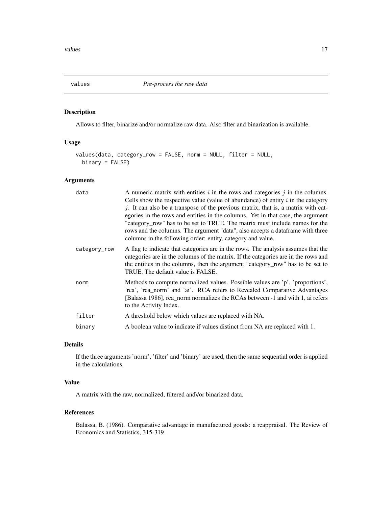<span id="page-16-1"></span><span id="page-16-0"></span>values *Pre-process the raw data*

#### Description

Allows to filter, binarize and/or normalize raw data. Also filter and binarization is available.

#### Usage

```
values(data, category_row = FALSE, norm = NULL, filter = NULL,
 binary = FALSE)
```
#### Arguments

| data         | A numeric matrix with entities $i$ in the rows and categories $j$ in the columns.<br>Cells show the respective value (value of abundance) of entity $i$ in the category<br>$j$ . It can also be a transpose of the previous matrix, that is, a matrix with cat-<br>egories in the rows and entities in the columns. Yet in that case, the argument<br>"category_row" has to be set to TRUE. The matrix must include names for the<br>rows and the columns. The argument "data", also accepts a dataframe with three<br>columns in the following order: entity, category and value. |
|--------------|------------------------------------------------------------------------------------------------------------------------------------------------------------------------------------------------------------------------------------------------------------------------------------------------------------------------------------------------------------------------------------------------------------------------------------------------------------------------------------------------------------------------------------------------------------------------------------|
| category_row | A flag to indicate that categories are in the rows. The analysis assumes that the<br>categories are in the columns of the matrix. If the categories are in the rows and<br>the entities in the columns, then the argument "category_row" has to be set to<br>TRUE. The default value is FALSE.                                                                                                                                                                                                                                                                                     |
| norm         | Methods to compute normalized values. Possible values are 'p', 'proportions',<br>'rca', 'rca_norm' and 'ai'. RCA refers to Revealed Comparative Advantages<br>[Balassa 1986], rca_norm normalizes the RCAs between -1 and with 1, ai refers<br>to the Activity Index.                                                                                                                                                                                                                                                                                                              |
| filter       | A threshold below which values are replaced with NA.                                                                                                                                                                                                                                                                                                                                                                                                                                                                                                                               |
| binary       | A boolean value to indicate if values distinct from NA are replaced with 1.                                                                                                                                                                                                                                                                                                                                                                                                                                                                                                        |
|              |                                                                                                                                                                                                                                                                                                                                                                                                                                                                                                                                                                                    |

#### Details

If the three arguments 'norm', 'filter' and 'binary' are used, then the same sequential order is applied in the calculations.

### Value

A matrix with the raw, normalized, filtered and\/or binarized data.

#### References

Balassa, B. (1986). Comparative advantage in manufactured goods: a reappraisal. The Review of Economics and Statistics, 315-319.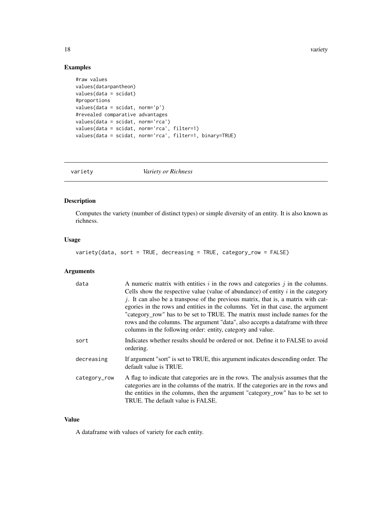18 variety

### Examples

```
#raw values
values(data=pantheon)
values(data = scidat)
#proportions
values(data = scidat, norm='p')
#revealed comparative advantages
values(data = scidat, norm='rca')
values(data = scidat, norm='rca', filter=1)
values(data = scidat, norm='rca', filter=1, binary=TRUE)
```
<span id="page-17-1"></span>variety *Variety or Richness*

# Description

Computes the variety (number of distinct types) or simple diversity of an entity. It is also known as richness.

#### Usage

```
variety(data, sort = TRUE, decreasing = TRUE, category_row = FALSE)
```
#### Arguments

| data         | A numeric matrix with entities $i$ in the rows and categories $j$ in the columns.<br>Cells show the respective value (value of abundance) of entity $i$ in the category<br>j. It can also be a transpose of the previous matrix, that is, a matrix with cat-<br>egories in the rows and entities in the columns. Yet in that case, the argument<br>"category_row" has to be set to TRUE. The matrix must include names for the<br>rows and the columns. The argument "data", also accepts a data frame with three<br>columns in the following order: entity, category and value. |
|--------------|----------------------------------------------------------------------------------------------------------------------------------------------------------------------------------------------------------------------------------------------------------------------------------------------------------------------------------------------------------------------------------------------------------------------------------------------------------------------------------------------------------------------------------------------------------------------------------|
| sort         | Indicates whether results should be ordered or not. Define it to FALSE to avoid<br>ordering.                                                                                                                                                                                                                                                                                                                                                                                                                                                                                     |
| decreasing   | If argument "sort" is set to TRUE, this argument indicates descending order. The<br>default value is TRUE.                                                                                                                                                                                                                                                                                                                                                                                                                                                                       |
| category_row | A flag to indicate that categories are in the rows. The analysis assumes that the<br>categories are in the columns of the matrix. If the categories are in the rows and<br>the entities in the columns, then the argument "category_row" has to be set to<br>TRUE. The default value is FALSE.                                                                                                                                                                                                                                                                                   |

#### Value

A dataframe with values of variety for each entity.

<span id="page-17-0"></span>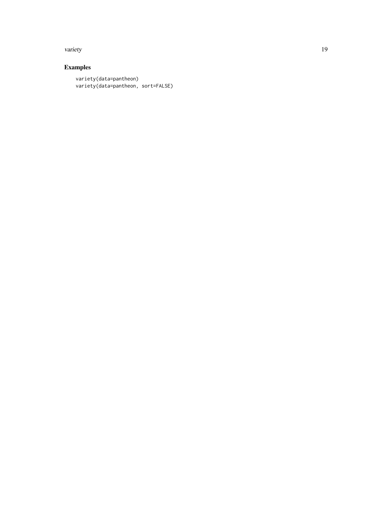#### variety and the contract of the contract of the contract of the contract of the contract of the contract of the contract of the contract of the contract of the contract of the contract of the contract of the contract of th

# Examples

variety(data=pantheon) variety(data=pantheon, sort=FALSE)